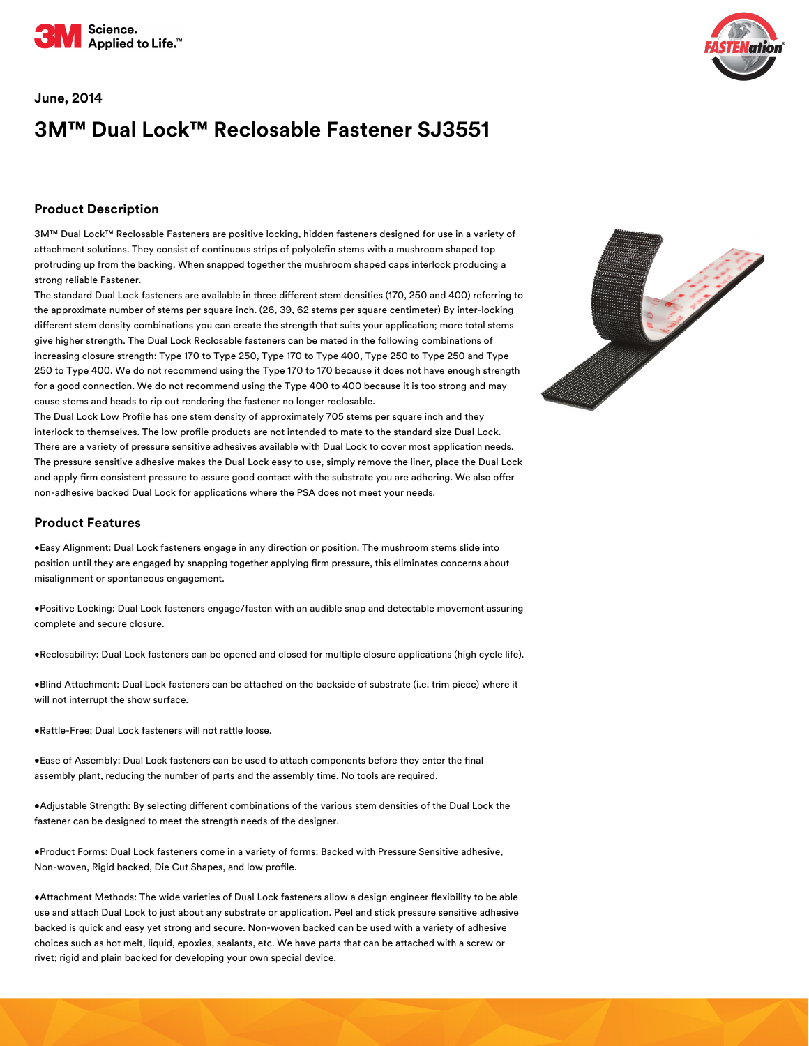

#### **June, 2014**

# **3M™ Dual Lock™ Reclosable Fastener SJ3551**

### **Product Description**

3M™ Dual Lock™ Reclosable Fasteners are positive locking, hidden fasteners designed for use in a variety of attachment solutions. They consist of continuous strips of polyolefin stems with a mushroom shaped top protruding up from the backing. When snapped together the mushroom shaped caps interlock producing a strong reliable Fastener.

The standard Dual Lock fasteners are available in three different stem densities (170, 250 and 400) referring to the approximate number of stems per square inch. (26, 39, 62 stems per square centimeter) By inter-locking different stem density combinations you can create the strength that suits your application; more total stems give higher strength. The Dual Lock Reclosable fasteners can be mated in the following combinations of increasing closure strength: Type 170 to Type 250, Type 170 to Type 400, Type 250 to Type 250 and Type 250 to Type 400. We do not recommend using the Type 170 to 170 because it does not have enough strength for a good connection. We do not recommend using the Type 400 to 400 because it is too strong and may cause stems and heads to rip out rendering the fastener no longer reclosable.

The Dual Lock Low Profile has one stem density of approximately 705 stems per square inch and they interlock to themselves. The low profile products are not intended to mate to the standard size Dual Lock. There are a variety of pressure sensitive adhesives available with Dual Lock to cover most application needs. The pressure sensitive adhesive makes the Dual Lock easy to use, simply remove the liner, place the Dual Lock and apply firm consistent pressure to assure good contact with the substrate you are adhering. We also offer non-adhesive backed Dual Lock for applications where the PSA does not meet your needs.

#### **Product Features**

•Easy Alignment: Dual Lock fasteners engage in any direction or position. The mushroom stems slide into position until they are engaged by snapping together applying firm pressure, this eliminates concerns about misalignment or spontaneous engagement.

•Positive Locking: Dual Lock fasteners engage/fasten with an audible snap and detectable movement assuring complete and secure closure.

•Reclosability: Dual Lock fasteners can be opened and closed for multiple closure applications (high cycle life).

•Blind Attachment: Dual Lock fasteners can be attached on the backside of substrate (i.e. trim piece) where it will not interrupt the show surface.

•Rattle-Free: Dual Lock fasteners will not rattle loose.

•Ease of Assembly: Dual Lock fasteners can be used to attach components before they enter the final assembly plant, reducing the number of parts and the assembly time. No tools are required.

•Adjustable Strength: By selecting different combinations of the various stem densities of the Dual Lock the fastener can be designed to meet the strength needs of the designer.

•Product Forms: Dual Lock fasteners come in a variety of forms: Backed with Pressure Sensitive adhesive, Non-woven, Rigid backed, Die Cut Shapes, and low profile.

•Attachment Methods: The wide varieties of Dual Lock fasteners allow a design engineer flexibility to be able use and attach Dual Lock to just about any substrate or application. Peel and stick pressure sensitive adhesive backed is quick and easy yet strong and secure. Non-woven backed can be used with a variety of adhesive choices such as hot melt, liquid, epoxies, sealants, etc. We have parts that can be attached with a screw or rivet; rigid and plain backed for developing your own special device.



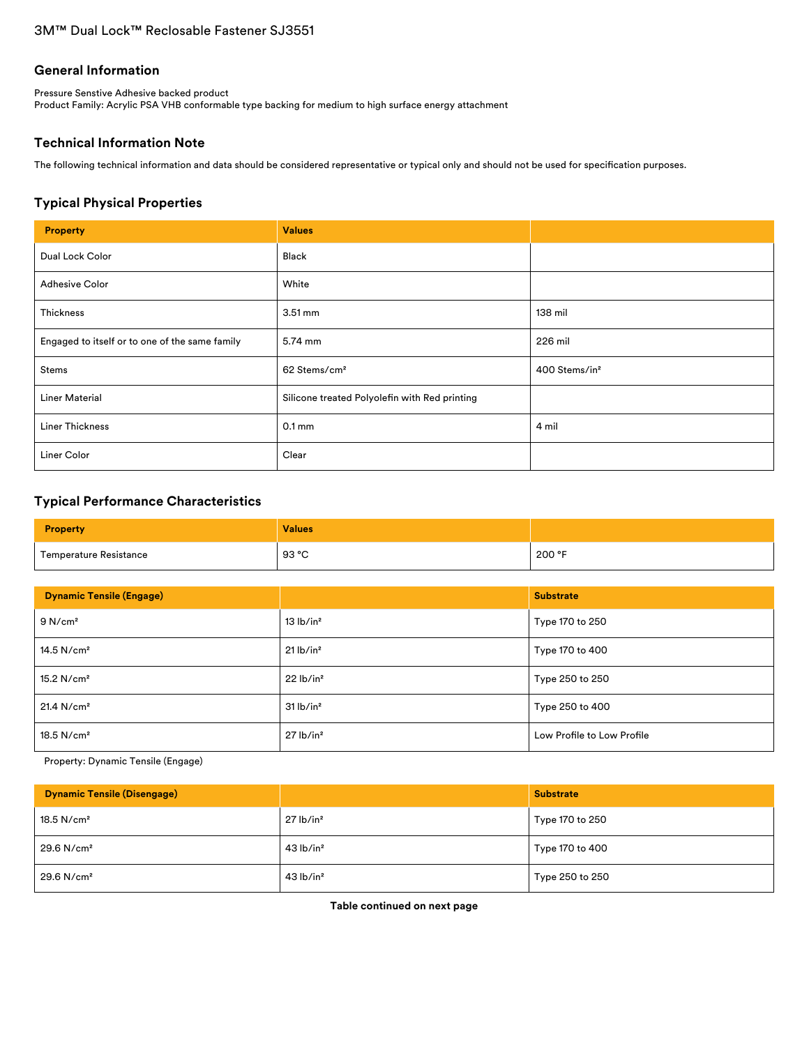### **General Information**

Pressure Senstive Adhesive backed product Product Family: Acrylic PSA VHB conformable type backing for medium to high surface energy attachment

### **Technical Information Note**

The following technical information and data should be considered representative or typical only and should not be used for specification purposes.

### **Typical Physical Properties**

| <b>Property</b>                                | <b>Values</b>                                 |                           |
|------------------------------------------------|-----------------------------------------------|---------------------------|
| Dual Lock Color                                | Black                                         |                           |
| <b>Adhesive Color</b>                          | White                                         |                           |
| Thickness                                      | $3.51 \text{ mm}$                             | 138 mil                   |
| Engaged to itself or to one of the same family | 5.74 mm                                       | 226 mil                   |
| Stems                                          | 62 Stems/cm <sup>2</sup>                      | 400 Stems/in <sup>2</sup> |
| <b>Liner Material</b>                          | Silicone treated Polyolefin with Red printing |                           |
| <b>Liner Thickness</b>                         | $0.1 \,\mathrm{mm}$                           | 4 mil                     |
| Liner Color                                    | Clear                                         |                           |

### **Typical Performance Characteristics**

| <b>Property</b>        | <b>Values</b> |        |
|------------------------|---------------|--------|
| Temperature Resistance | 93 °C         | 200 °F |

| <b>Dynamic Tensile (Engage)</b> |                         | <b>Substrate</b>           |  |
|---------------------------------|-------------------------|----------------------------|--|
| 9 N/cm <sup>2</sup>             | 13 lb/in <sup>2</sup>   | Type 170 to 250            |  |
| $14.5$ N/cm <sup>2</sup>        | $21$ lb/in <sup>2</sup> | Type 170 to 400            |  |
| $15.2$ N/cm <sup>2</sup>        | 22 lb/in <sup>2</sup>   | Type 250 to 250            |  |
| 21.4 N/cm <sup>2</sup>          | 31 lb/in <sup>2</sup>   | Type 250 to 400            |  |
| $18.5$ N/cm <sup>2</sup>        | $27$ lb/in <sup>2</sup> | Low Profile to Low Profile |  |

Property: Dynamic Tensile (Engage)

| <b>Dynamic Tensile (Disengage)</b> |                         | <b>Substrate</b> |
|------------------------------------|-------------------------|------------------|
| $18.5$ N/cm <sup>2</sup>           | $27$ lb/in <sup>2</sup> | Type 170 to 250  |
| 29.6 N/cm <sup>2</sup>             | $43$ lb/in <sup>2</sup> | Type 170 to 400  |
| $29.6$ N/cm <sup>2</sup>           | $43$ lb/in <sup>2</sup> | Type 250 to 250  |

**Table continued on next page**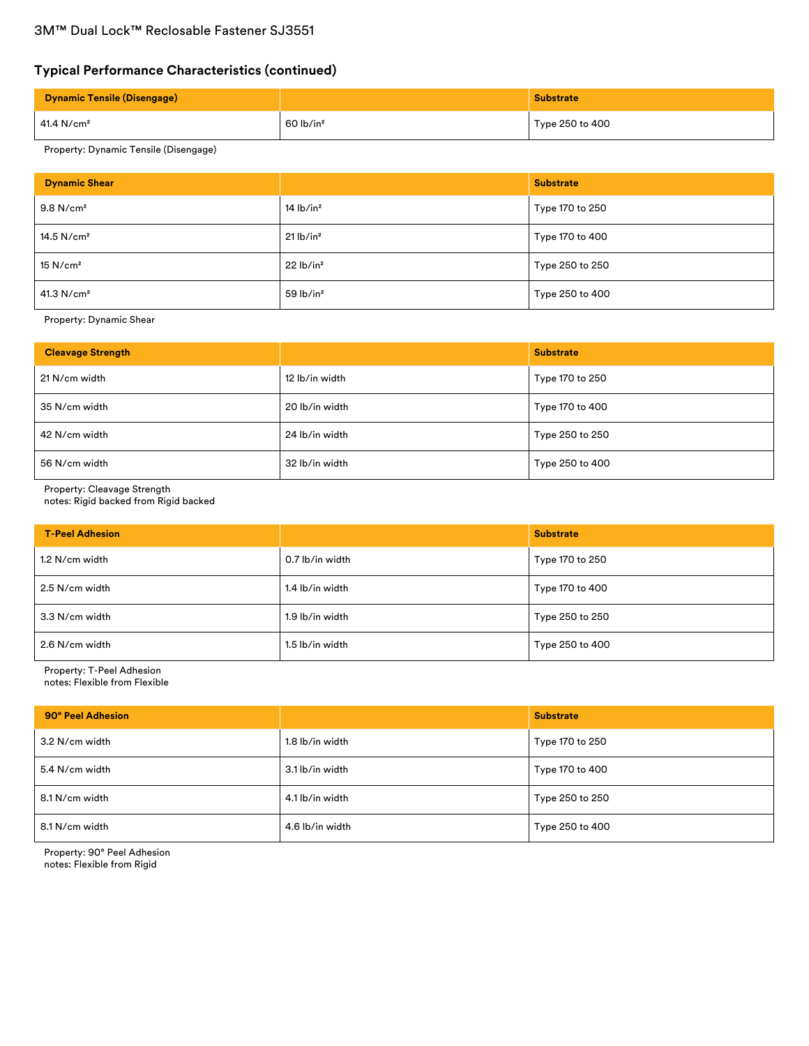# **Typical Performance Characteristics (continued)**

| <b>Dynamic Tensile (Disengage)</b> |                         | <b>Substrate</b> |
|------------------------------------|-------------------------|------------------|
| 41.4 N/cm²                         | $60$ lb/in <sup>2</sup> | Type 250 to 400  |

### Property: Dynamic Tensile (Disengage)

| <b>Dynamic Shear</b>    |                                            | <b>Substrate</b> |
|-------------------------|--------------------------------------------|------------------|
| $9.8$ N/cm <sup>2</sup> | $14$ lb/in <sup>2</sup><br>Type 170 to 250 |                  |
| 14.5 $N/cm2$            | $21$ lb/in <sup>2</sup>                    | Type 170 to 400  |
| $15$ N/cm <sup>2</sup>  | 22 lb/in <sup>2</sup>                      | Type 250 to 250  |
| 41.3 N/cm <sup>2</sup>  | $59$ lb/in <sup>2</sup>                    | Type 250 to 400  |

Property: Dynamic Shear

| <b>Cleavage Strength</b> |                | <b>Substrate</b> |
|--------------------------|----------------|------------------|
| 21 N/cm width            | 12 lb/in width | Type 170 to 250  |
| 35 N/cm width            | 20 lb/in width | Type 170 to 400  |
| 42 N/cm width            | 24 lb/in width | Type 250 to 250  |
| 56 N/cm width            | 32 lb/in width | Type 250 to 400  |

Property: Cleavage Strength

notes: Rigid backed from Rigid backed

| <b>T-Peel Adhesion</b>            |                 | <b>Substrate</b> |
|-----------------------------------|-----------------|------------------|
| 1.2 N/cm width                    | 0.7 lb/in width | Type 170 to 250  |
| 2.5 N/cm width                    | 1.4 lb/in width | Type 170 to 400  |
| 1.9 lb/in width<br>3.3 N/cm width |                 | Type 250 to 250  |
| 2.6 N/cm width                    | 1.5 lb/in width | Type 250 to 400  |

Property: T-Peel Adhesion notes: Flexible from Flexible

| 90° Peel Adhesion                 |                 | <b>Substrate</b> |
|-----------------------------------|-----------------|------------------|
| 3.2 N/cm width                    | 1.8 lb/in width | Type 170 to 250  |
| 5.4 N/cm width                    | 3.1 lb/in width | Type 170 to 400  |
| 8.1 N/cm width<br>4.1 lb/in width |                 | Type 250 to 250  |
| 8.1 N/cm width                    | 4.6 lb/in width | Type 250 to 400  |

Property: 90° Peel Adhesion notes: Flexible from Rigid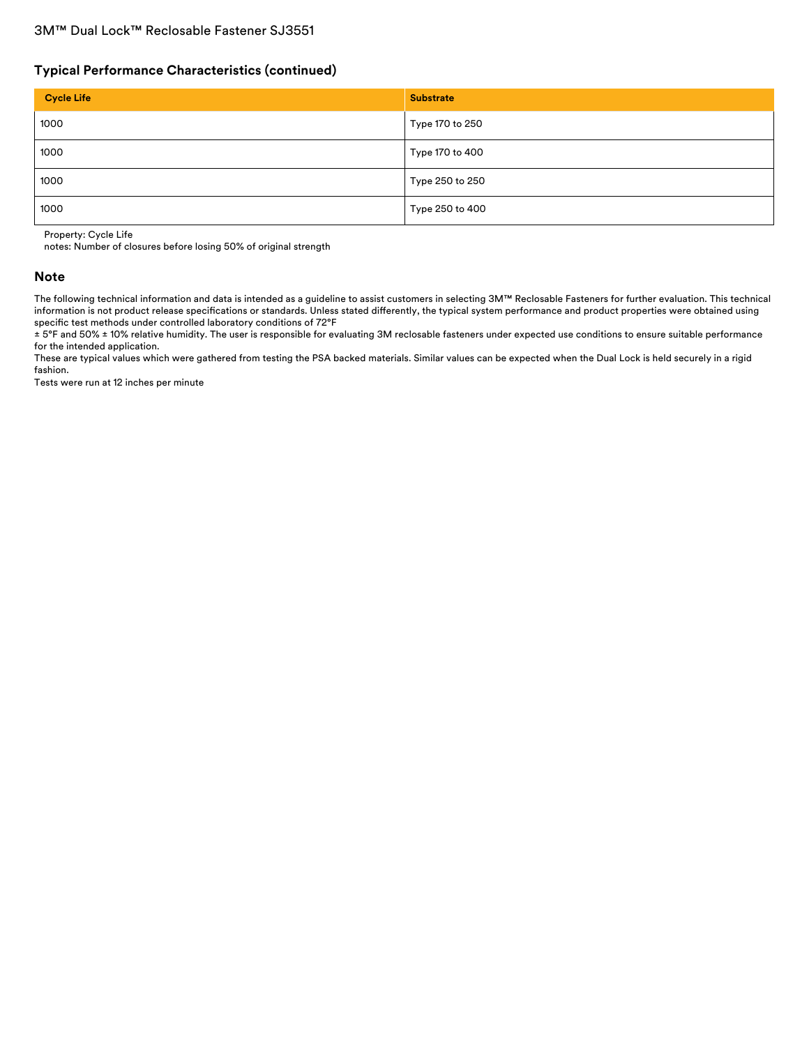### **Typical Performance Characteristics (continued)**

| <b>Cycle Life</b> | <b>Substrate</b> |
|-------------------|------------------|
| 1000              | Type 170 to 250  |
| 1000              | Type 170 to 400  |
| 1000              | Type 250 to 250  |
| 1000              | Type 250 to 400  |

Property: Cycle Life

notes: Number of closures before losing 50% of original strength

#### **Note**

The following technical information and data is intended as a guideline to assist customers in selecting 3M™ Reclosable Fasteners for further evaluation. This technical information is not product release specifications or standards. Unless stated differently, the typical system performance and product properties were obtained using specific test methods under controlled laboratory conditions of 72°F

± 5°F and 50% ± 10% relative humidity. The user is responsible for evaluating 3M reclosable fasteners under expected use conditions to ensure suitable performance for the intended application.

These are typical values which were gathered from testing the PSA backed materials. Similar values can be expected when the Dual Lock is held securely in a rigid fashion.

Tests were run at 12 inches per minute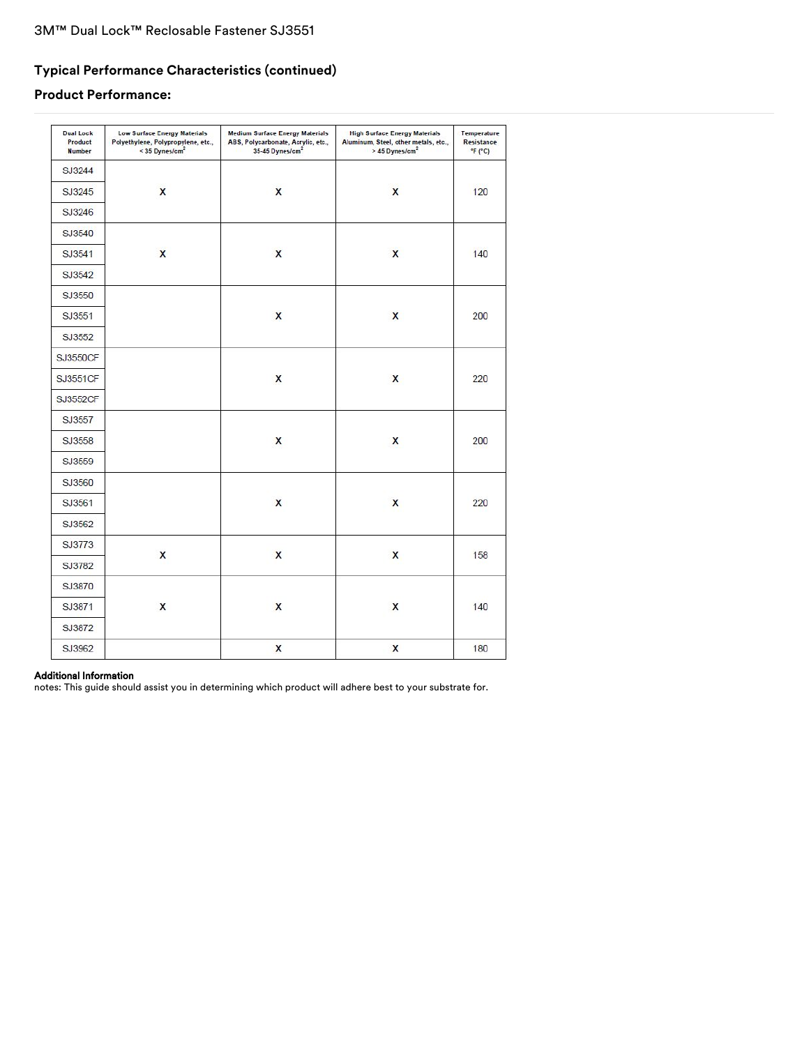# **Typical Performance Characteristics (continued)**

# **Product Performance:**

| <b>Dual Lock</b><br>Product<br><b>Number</b> | <b>Low Surface Energy Materials</b><br>Polyethylene, Polypropylene, etc.,<br>< 35 Dynes/cm <sup>2</sup> | <b>Medium Surface Energy Materials</b><br>ABS, Polycarbonate, Acrylic, etc.,<br>35-45 Dynes/cm <sup>2</sup> | <b>High Surface Energy Materials</b><br>Aluminum, Steel, other metals, etc.,<br>> 45 Dynes/cm <sup>2</sup> | Temperature<br>Resistance<br>F(T) |
|----------------------------------------------|---------------------------------------------------------------------------------------------------------|-------------------------------------------------------------------------------------------------------------|------------------------------------------------------------------------------------------------------------|-----------------------------------|
| SJ3244                                       |                                                                                                         |                                                                                                             |                                                                                                            |                                   |
| SJ3245                                       | X                                                                                                       | $\mathsf{x}$                                                                                                | $\mathsf{x}$                                                                                               | 120                               |
| SJ3246                                       |                                                                                                         |                                                                                                             |                                                                                                            |                                   |
| SJ3540                                       |                                                                                                         |                                                                                                             |                                                                                                            |                                   |
| SJ3541                                       | $\mathbf{x}$                                                                                            | $\overline{\mathsf{x}}$                                                                                     | $\overline{\mathbf{x}}$                                                                                    | 140                               |
| SJ3542                                       |                                                                                                         |                                                                                                             |                                                                                                            |                                   |
| SJ3550                                       |                                                                                                         |                                                                                                             |                                                                                                            |                                   |
| SJ3551                                       |                                                                                                         | $\boldsymbol{\mathsf{x}}$                                                                                   | X                                                                                                          | 200                               |
| SJ3552                                       |                                                                                                         |                                                                                                             |                                                                                                            |                                   |
| <b>SJ3550CF</b>                              |                                                                                                         |                                                                                                             |                                                                                                            |                                   |
| <b>SJ3551CF</b>                              |                                                                                                         | X                                                                                                           | X                                                                                                          | 220                               |
| SJ3552CF                                     |                                                                                                         |                                                                                                             |                                                                                                            |                                   |
| SJ3557                                       |                                                                                                         |                                                                                                             |                                                                                                            |                                   |
| SJ3558                                       |                                                                                                         | X                                                                                                           | X                                                                                                          | 200                               |
| SJ3559                                       |                                                                                                         |                                                                                                             |                                                                                                            |                                   |
| SJ3560                                       |                                                                                                         |                                                                                                             |                                                                                                            |                                   |
| SJ3561                                       |                                                                                                         | $\mathsf{x}$                                                                                                | X                                                                                                          | 220                               |
| SJ3562                                       |                                                                                                         |                                                                                                             |                                                                                                            |                                   |
| SJ3773                                       |                                                                                                         |                                                                                                             |                                                                                                            |                                   |
| SJ3782                                       | X                                                                                                       | $\mathsf{x}$                                                                                                | X                                                                                                          | 158                               |
| SJ3870                                       |                                                                                                         |                                                                                                             |                                                                                                            |                                   |
| SJ3871                                       | X                                                                                                       | $\mathsf{x}$                                                                                                | X                                                                                                          | 140                               |
| SJ3872                                       |                                                                                                         |                                                                                                             |                                                                                                            |                                   |
| SJ3962                                       |                                                                                                         | X                                                                                                           | X                                                                                                          | 180                               |

### Additional Information

notes: This guide should assist you in determining which product will adhere best to your substrate for.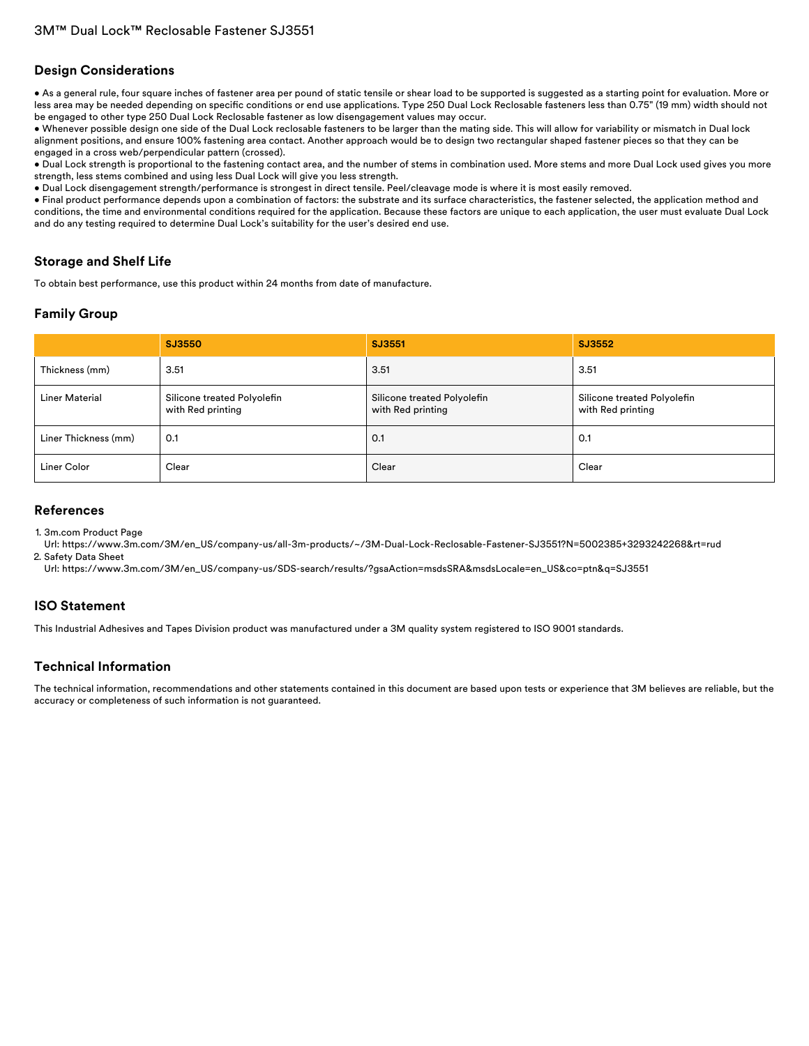### **Design Considerations**

• As a general rule, four square inches of fastener area per pound of static tensile or shear load to be supported is suggested as a starting point for evaluation. More or less area may be needed depending on specific conditions or end use applications. Type 250 Dual Lock Reclosable fasteners less than 0.75" (19 mm) width should not be engaged to other type 250 Dual Lock Reclosable fastener as low disengagement values may occur.

• Whenever possible design one side of the Dual Lock reclosable fasteners to be larger than the mating side. This will allow for variability or mismatch in Dual lock alignment positions, and ensure 100% fastening area contact. Another approach would be to design two rectangular shaped fastener pieces so that they can be engaged in a cross web/perpendicular pattern (crossed).

• Dual Lock strength is proportional to the fastening contact area, and the number of stems in combination used. More stems and more Dual Lock used gives you more strength, less stems combined and using less Dual Lock will give you less strength.

• Dual Lock disengagement strength/performance is strongest in direct tensile. Peel/cleavage mode is where it is most easily removed.

• Final product performance depends upon a combination of factors: the substrate and its surface characteristics, the fastener selected, the application method and conditions, the time and environmental conditions required for the application. Because these factors are unique to each application, the user must evaluate Dual Lock and do any testing required to determine Dual Lock's suitability for the user's desired end use.

### **Storage and Shelf Life**

To obtain best performance, use this product within 24 months from date of manufacture.

### **Family Group**

|                       | SJ3550                                           | SJ3551                                           | SJ3552                                           |
|-----------------------|--------------------------------------------------|--------------------------------------------------|--------------------------------------------------|
| Thickness (mm)        | 3.51                                             | 3.51                                             | 3.51                                             |
| <b>Liner Material</b> | Silicone treated Polyolefin<br>with Red printing | Silicone treated Polyolefin<br>with Red printing | Silicone treated Polyolefin<br>with Red printing |
| Liner Thickness (mm)  | 0.1                                              | 0.1                                              | 0.1                                              |
| Liner Color           | Clear                                            | Clear                                            | Clear                                            |

### **References**

1. 3m.com Product Page

Url: [https://www.3m.com/3M/en\\_US/company-us/all-3m-products/~/3M-Dual-Lock-Reclosable-Fastener-SJ3551?N=5002385+3293242268&rt=rud](https://www.3m.com/3M/en_US/company-us/all-3m-products/~/3M-Dual-Lock-Reclosable-Fastener-SJ3551?N=5002385+3293242268&rt=rud) 2. Safety Data Sheet

Url: [https://www.3m.com/3M/en\\_US/company-us/SDS-search/results/?gsaAction=msdsSRA&msdsLocale=en\\_US&co=ptn&q=SJ3551](https://www.3m.com/3M/en_US/company-us/SDS-search/results/?gsaAction=msdsSRA&msdsLocale=en_US&co=ptn&q=SJ3551)

### **ISO Statement**

This Industrial Adhesives and Tapes Division product was manufactured under a 3M quality system registered to ISO 9001 standards.

### **Technical Information**

The technical information, recommendations and other statements contained in this document are based upon tests or experience that 3M believes are reliable, but the accuracy or completeness of such information is not guaranteed.